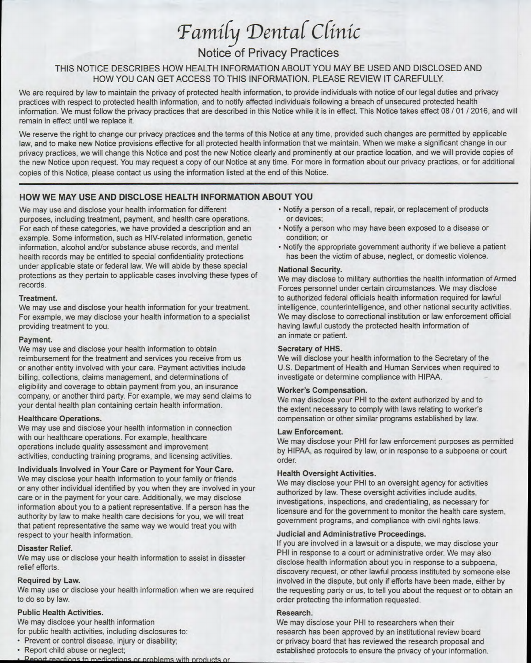# $\emph{Family Dental C}$ líníc

# Notice of Privacy Practices

# THIS NOTICE DESCRIBES HOW HEALTH INFORMATION ABOUT YOU MAY BE USED AND DISCLOSED AND HOW YOU CAN GET ACCESS TO THIS INFORMATION. PLEASE REVIEW IT CAREFULLY.

We are required by law to maintain the privacy of protected health information, to provide individuals with notice of our legal duties and privacy practices with respect to protected health information, and to notify affected individuals following a breach of unsecured protected health information. We must follow the privacy practices that are described in this Notice while it is in effect. This Notice takes effect 08 / 01 / 2016, and will remain in effect until we replace it.

We reserve the right to change our privacy practices and the terms of this Notice at any time, provided such changes are permitted by applicable law, and to make new Notice provisions effective for all protected health information that we maintain. When we make a significant change in our privacy practices, we will change this Notice and post the new Notice clearly and prominently at our practice location, and we will provide copies of the new Notice upon request. You may request a copy of our Notice at any time. For more in formation about our privacy practices, or for additional copies of this Notice, please contact us using the information listed at the end of this Notice.

# **HOW WE MAY USE AND DISCLOSE HEALTH INFORMATION ABOUT YOU**

We may use and disclose your health information for different purposes, including treatment, payment, and health care operations. For each of these categories, we have provided a description and an example. Some information, such as HIV-related information, genetic information, alcohol and/or substance abuse records, and mental health records may be entitled to special confidentiality protections under applicable state or federal law. We will abide by these special protections as they pertain to applicable cases involving these types of records.

#### **Treatment.**

We may use and disclose your health information for your treatment. For example, we may disclose your health information to a specialist providing treatment to you.

# **Payment.**

We may use and disclose your health information to obtain reimbursement for the treatment and services you receive from us or another entity involved with your care. Payment activities include billing, collections, claims management, and determinations of eligibility and coverage to obtain payment from you, an insurance company, or another third party. For example, we may send claims to your dental health plan containing certain health information.

#### **Healthcare Operations.**

We may use and disclose your health information in connection with our healthcare operations. For example, healthcare operations include quality assessment and improvement activities, conducting training programs, and licensing activities.

# **Individuals Involved in Your Care or Payment for Your Care.**

We may disclose your health information to your family or friends or any other individual identified by you when they are involved in your care or in the payment for your care. Additionally, we may disclose information about you to a patient representative. If a person has the authority by law to make health care decisions for you, we will treat that patient representative the same way we would treat you with respect to your health information.

# **Disaster Relief.**

We may use or disclose your health information to assist in disaster relief efforts.

# **Required by Law.**

We may use or disclose your health information when we are required to do so by law.

# **Public Health Activities.**

We may disclose your health information

- for public health activities, including disclosures to:
- Prevent or control disease, injury or disability;
- Report child abuse or neglect;
- port reactions to medications or problems with products or
- Notify a person of a recall, repair, or replacement of products or devices;
- Notify a person who may have been exposed to a disease or condition; or
- Notify the appropriate government authority if we believe a patient has been the victim of abuse, neglect, or domestic violence.

### **National Security.**

We may disclose to military authorities the health information of Armed Forces personnel under certain circumstances. We may disclose to authorized federal officials health information required for lawful intelligence, counterintelligence, and other national security activities. We may disclose to correctional institution or law enforcement official having lawful custody the protected health information of an inmate or patient.

#### **Secretary of HHS.**

We will disclose your health information to the Secretary of the U.S. Department of Health and Human Services when required to investigate or determine compliance with HIPAA.

#### **Worker's Compensation.**

We may disclose your PHI to the extent authorized by and to the extent necessary to comply with laws relating to worker's compensation or other similar programs established by law.

#### **Law Enforcement.**

We may disclose your PHI for law enforcement purposes as permitted by HIPAA, as required by law, or in response to a subpoena or court order.

#### **Health Oversight Activities.**

We may disclose your PHI to an oversight agency for activities authorized by law. These oversight activities include audits, investigations, inspections, and credentialing, as necessary for licensure and for the government to monitor the health care system, government programs, and compliance with civil rights laws.

#### **Judicial and Administrative Proceedings.**

If you are involved in a lawsuit or a dispute, we may disclose your PHI in response to a court or administrative order. We may also disclose health information about you in response to a subpoena, discovery request, or other lawful process instituted by someone else involved in the dispute, but only if efforts have been made, either by the requesting party or us, to tell you about the request or to obtain an order protecting the information requested.

#### **Research.**

We may disclose your PHI to researchers when their research has been approved by an institutional review board or privacy board that has reviewed the research proposal and established protocols to ensure the privacy of your information.